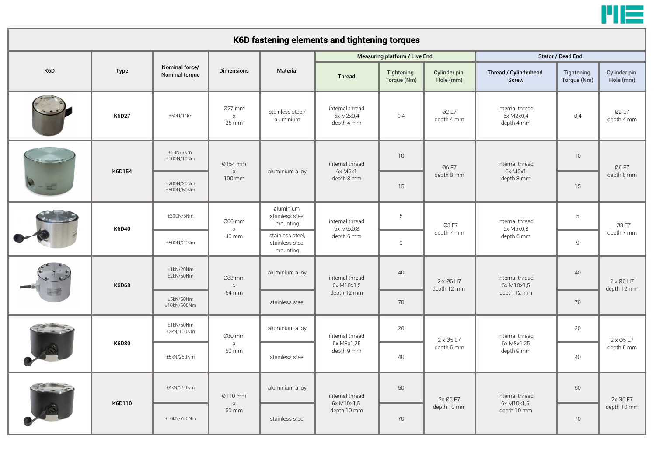

## K6D Type Material **K6D27**  $\parallel$   $\pm$ 50N/1Nm  $\parallel$  x  $\parallel$  0.4  $\parallel$  0.4  $\parallel$  0.4  $\parallel$  0.4  $\parallel$  6x M2x0,4  $\parallel$  0.4 K6D154 10 10 15 15 K6D40 ±200N/5Nm 5 5 ±500N/20Nm 9 9 K6D68 40 40 70 70 K6D80 20 20 ±5kN/250Nm 40 40 K6D110 ±4kN/250Nm 50 50 ±10kN/750Nm 70 70 K6D fastening elements and tightening torques Nominal force/ Nominal torce/ Dimensions Measuring platform / Live End Stator / Dead End Stator / Dead End Thread **Tightening** Torque (Nm) Cylinder pin Hole (mm) Thread / Cylinderhead Screw **Tightening** Torque (Nm) Cylinder pin Hole (mm) Ø27 mm x 25 mm stainless steel/ aluminium internal thread 6x M2x0,4 depth 4 mm Ø2 E7 depth 4 mm internal thread 6x M2x0,4 depth 4 mm Ø2 E7 depth 4 mm ±50N/5Nm ±100N/10Nm Ø154 mm x 100 mm aluminium alloy internal thread 6x M6x1 depth 8 mm Ø6 E7 depth 8 mm internal thread 6x M6x1 depth 8 mm Ø6 E7 depth 8 mm ±200N/20Nm ±500N/50Nm Ø60 mm x 40 mm aluminium, stainless steel mounting internal thread 6x M5x0,8 depth 6 mm Ø3 E7 depth 7 mm internal thread 6x M5x0,8 depth 6 mm Ø3 E7 stainless steel, and depth 6 mm stainless steel, and depth 7 mm stainless steel, and depth 7 mm stainless steel, and depth 7 mm stainless steel mounting ±1kN/20Nm  $\pm$ 2kN/50Nm  $\sqrt{ }$  083 mm x 64 mm aluminium alloy internal thread 6x M10x1,5 depth 12 mm 2 x Ø6 H7 depth 12 mm internal thread 6x M10x1,5 depth 12 mm 2 x Ø6 H7 depth 12 mm ±5kN/50Nm ±10kN/500Nm stainless steel ±1kN/50Nm ±2kN/100Nm Ø80 mm x 50 mm aluminium alloy internal thread 6x M8x1,25 depth 9 mm 2 x Ø5 E7 depth 6 mm internal thread 6x M8x1,25 depth 9 mm 2 x Ø5 E7 depth 6 mm stainless steel Ø110 mm x 60 mm aluminium alloy internal thread 6x M10x1,5 depth 10 mm 2x Ø6 E7 depth 10 mm internal thread 6x M10x1,5 depth 10 mm 2x Ø6 E7 depth 10 mm stainless steel